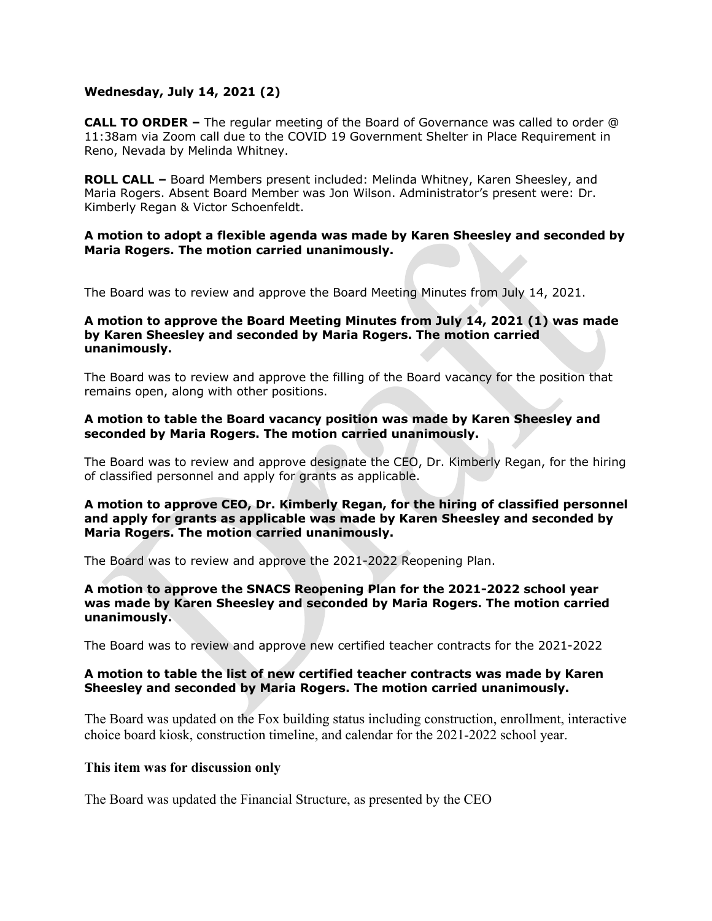# **Wednesday, July 14, 2021 (2)**

**CALL TO ORDER –** The regular meeting of the Board of Governance was called to order @ 11:38am via Zoom call due to the COVID 19 Government Shelter in Place Requirement in Reno, Nevada by Melinda Whitney.

**ROLL CALL –** Board Members present included: Melinda Whitney, Karen Sheesley, and Maria Rogers. Absent Board Member was Jon Wilson. Administrator's present were: Dr. Kimberly Regan & Victor Schoenfeldt.

## **A motion to adopt a flexible agenda was made by Karen Sheesley and seconded by Maria Rogers. The motion carried unanimously.**

The Board was to review and approve the Board Meeting Minutes from July 14, 2021.

## **A motion to approve the Board Meeting Minutes from July 14, 2021 (1) was made by Karen Sheesley and seconded by Maria Rogers. The motion carried unanimously.**

The Board was to review and approve the filling of the Board vacancy for the position that remains open, along with other positions.

#### **A motion to table the Board vacancy position was made by Karen Sheesley and seconded by Maria Rogers. The motion carried unanimously.**

The Board was to review and approve designate the CEO, Dr. Kimberly Regan, for the hiring of classified personnel and apply for grants as applicable.

## **A motion to approve CEO, Dr. Kimberly Regan, for the hiring of classified personnel and apply for grants as applicable was made by Karen Sheesley and seconded by Maria Rogers. The motion carried unanimously.**

The Board was to review and approve the 2021-2022 Reopening Plan.

## **A motion to approve the SNACS Reopening Plan for the 2021-2022 school year was made by Karen Sheesley and seconded by Maria Rogers. The motion carried unanimously.**

The Board was to review and approve new certified teacher contracts for the 2021-2022

## **A motion to table the list of new certified teacher contracts was made by Karen Sheesley and seconded by Maria Rogers. The motion carried unanimously.**

The Board was updated on the Fox building status including construction, enrollment, interactive choice board kiosk, construction timeline, and calendar for the 2021-2022 school year.

## **This item was for discussion only**

The Board was updated the Financial Structure, as presented by the CEO